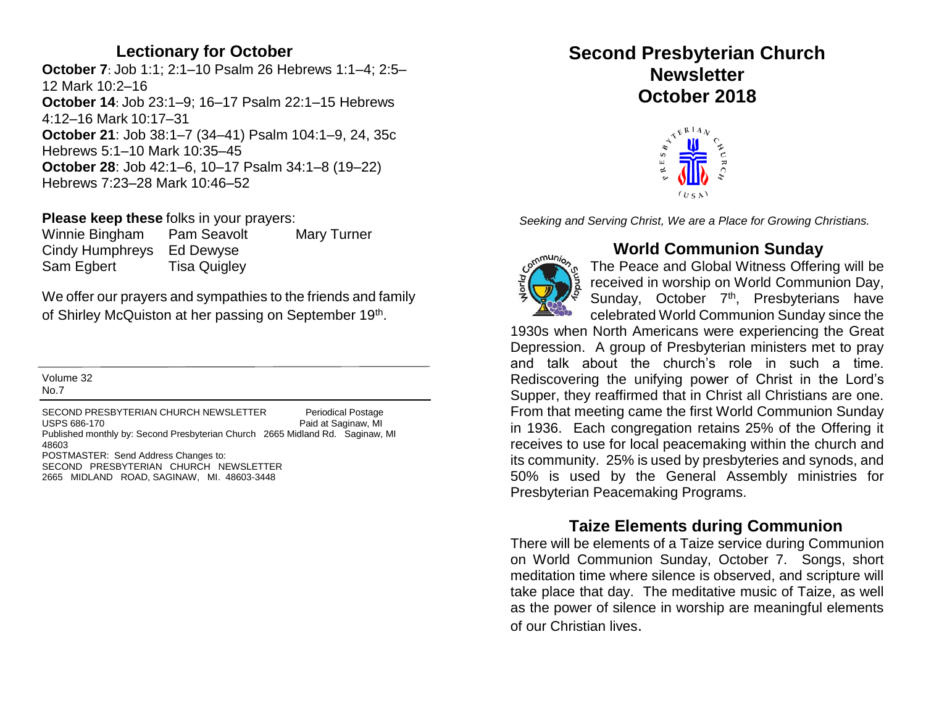#### **Lectionary for October**

**October 7**: Job 1:1; 2:1–10 Psalm 26 Hebrews 1:1–4; 2:5– 12 Mark 10:2–16 **October 14**: Job 23:1–9; 16–17 Psalm 22:1–15 Hebrews 4:12–16 Mark 10:17–31 **October 21**: Job 38:1–7 (34–41) Psalm 104:1–9, 24, 35c Hebrews 5:1–10 Mark 10:35–45 **October 28**: Job 42:1–6, 10–17 Psalm 34:1–8 (19–22) Hebrews 7:23–28 Mark 10:46–52

**Please keep these** folks in your prayers:

Winnie Bingham Pam Seavolt Mary Turner Cindy Humphreys Ed Dewyse Sam Egbert Tisa Quigley

We offer our prayers and sympathies to the friends and family of Shirley McQuiston at her passing on September 19<sup>th</sup>.

Volume 32 No.7

SECOND PRESBYTERIAN CHURCH NEWSLETTER Periodical Postage USPS 686-170 **Paid at Saginaw, MI** Published monthly by: Second Presbyterian Church 2665 Midland Rd. Saginaw, MI 48603 POSTMASTER: Send Address Changes to: SECOND PRESBYTERIAN CHURCH NEWSLETTER 2665 MIDLAND ROAD, SAGINAW, MI. 48603-3448

# **Second Presbyterian Church Newsletter October 2018**



*Seeking and Serving Christ, We are a Place for Growing Christians.*



# **World Communion Sunday**

The Peace and Global Witness Offering will be received in worship on World Communion Day, Sunday, October 7<sup>th</sup>, Presbyterians have celebrated World Communion Sunday since the

1930s when North Americans were experiencing the Great Depression. A group of Presbyterian ministers met to pray and talk about the church's role in such a time. Rediscovering the unifying power of Christ in the Lord's Supper, they reaffirmed that in Christ all Christians are one. From that meeting came the first World Communion Sunday in 1936. Each congregation retains 25% of the Offering it receives to use for local peacemaking within the church and its community. 25% is used by presbyteries and synods, and 50% is used by the General Assembly ministries for Presbyterian Peacemaking Programs.

# **Taize Elements during Communion**

There will be elements of a Taize service during Communion on World Communion Sunday, October 7. Songs, short meditation time where silence is observed, and scripture will take place that day. The meditative music of Taize, as well as the power of silence in worship are meaningful elements of our Christian lives.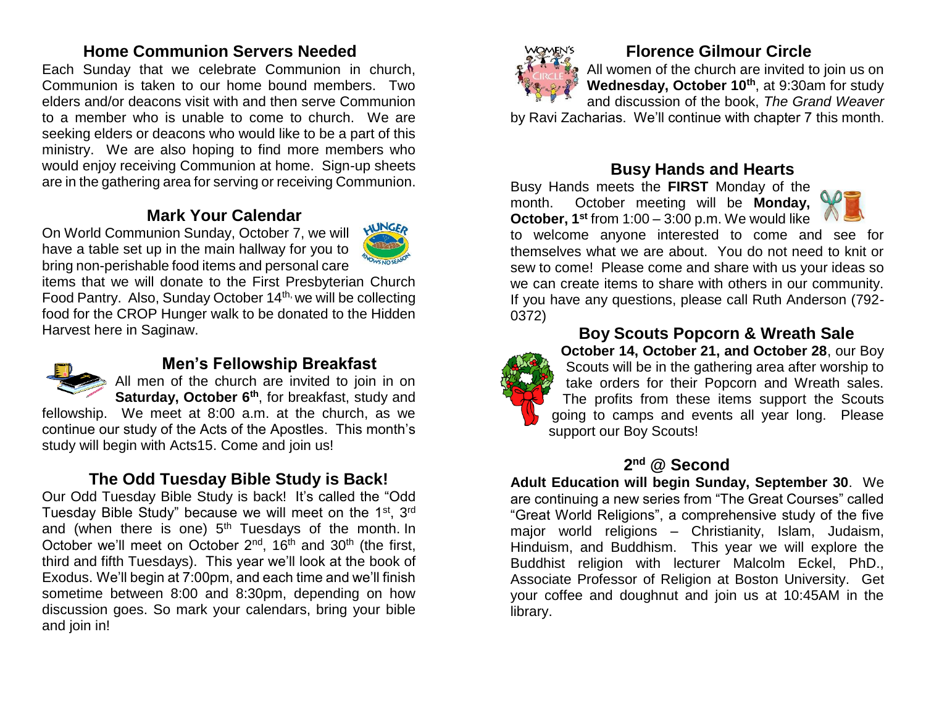### **Home Communion Servers Needed**

Each Sunday that we celebrate Communion in church, Communion is taken to our home bound members. Two elders and/or deacons visit with and then serve Communion to a member who is unable to come to church. We are seeking elders or deacons who would like to be a part of this ministry. We are also hoping to find more members who would enjoy receiving Communion at home. Sign-up sheets are in the gathering area for serving or receiving Communion.

#### **Mark Your Calendar**

On World Communion Sunday, October 7, we will have a table set up in the main hallway for you to bring non-perishable food items and personal care





### **Men's Fellowship Breakfast**

All men of the church are invited to join in on **Saturday, October 6th**, for breakfast, study and

fellowship. We meet at 8:00 a.m. at the church, as we continue our study of the Acts of the Apostles. This month's study will begin with Acts15. Come and join us!

# **The Odd Tuesday Bible Study is Back!**

Our Odd Tuesday Bible Study is back! It's called the "Odd Tuesday Bible Study" because we will meet on the 1<sup>st</sup>, 3<sup>rd</sup> and (when there is one)  $5<sup>th</sup>$  Tuesdays of the month. In October we'll meet on October 2<sup>nd</sup>, 16<sup>th</sup> and 30<sup>th</sup> (the first, third and fifth Tuesdays). This year we'll look at the book of Exodus. We'll begin at 7:00pm, and each time and we'll finish sometime between 8:00 and 8:30pm, depending on how discussion goes. So mark your calendars, bring your bible and join in!



# **Florence Gilmour Circle**

All women of the church are invited to join us on **Wednesday, October 10th**, at 9:30am for study and discussion of the book, *The Grand Weaver*

by Ravi Zacharias. We'll continue with chapter 7 this month.

#### **Busy Hands and Hearts**

Busy Hands meets the **FIRST** Monday of the month. October meeting will be **Monday, October, 1st** from 1:00 – 3:00 p.m. We would like



to welcome anyone interested to come and see for themselves what we are about. You do not need to knit or sew to come! Please come and share with us your ideas so we can create items to share with others in our community. If you have any questions, please call Ruth Anderson (792- 0372)



#### **Boy Scouts Popcorn & Wreath Sale**

**October 14, October 21, and October 28**, our Boy Scouts will be in the gathering area after worship to take orders for their Popcorn and Wreath sales. The profits from these items support the Scouts going to camps and events all year long. Please support our Boy Scouts!

#### **2 nd @ Second**

**Adult Education will begin Sunday, September 30**. We are continuing a new series from "The Great Courses" called "Great World Religions", a comprehensive study of the five major world religions – Christianity, Islam, Judaism, Hinduism, and Buddhism. This year we will explore the Buddhist religion with lecturer Malcolm Eckel, PhD., Associate Professor of Religion at Boston University. Get your coffee and doughnut and join us at 10:45AM in the library.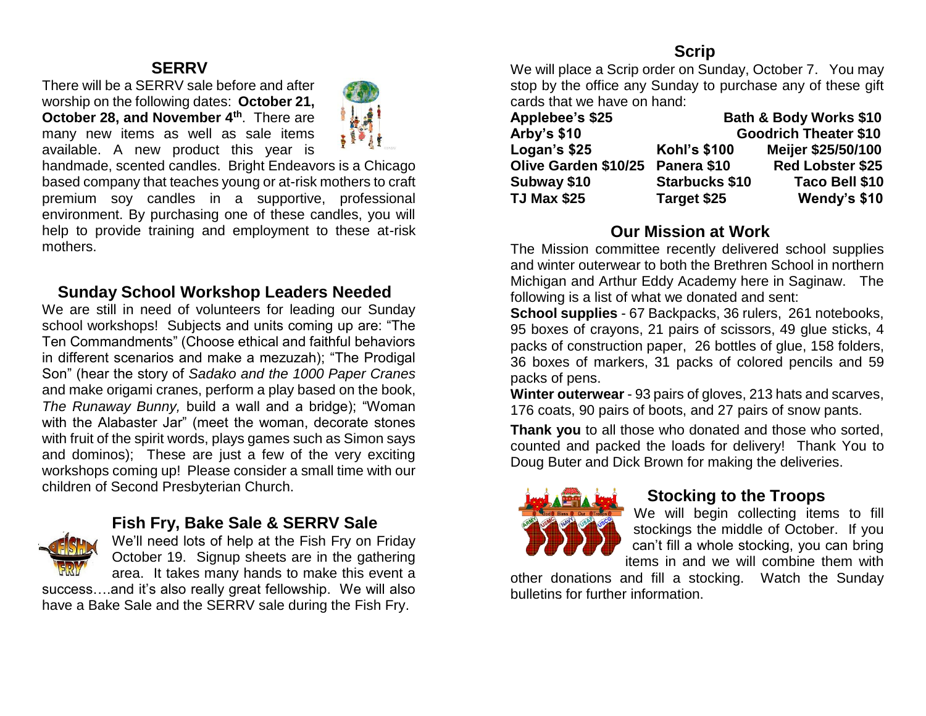#### **SERRV**

There will be a SERRV sale before and after worship on the following dates: **October 21, October 28, and November 4th**. There are many new items as well as sale items available. A new product this year is



handmade, scented candles. Bright Endeavors is a Chicago based company that teaches young or at-risk mothers to craft premium soy candles in a supportive, professional environment. By purchasing one of these candles, you will help to provide training and employment to these at-risk mothers.

#### **Sunday School Workshop Leaders Needed**

We are still in need of volunteers for leading our Sunday school workshops! Subjects and units coming up are: "The Ten Commandments" (Choose ethical and faithful behaviors in different scenarios and make a mezuzah); "The Prodigal Son" (hear the story of *Sadako and the 1000 Paper Cranes*  and make origami cranes, perform a play based on the book, *The Runaway Bunny,* build a wall and a bridge); "Woman with the Alabaster Jar" (meet the woman, decorate stones with fruit of the spirit words, plays games such as Simon says and dominos); These are just a few of the very exciting workshops coming up! Please consider a small time with our children of Second Presbyterian Church.



# **Fish Fry, Bake Sale & SERRV Sale**

We'll need lots of help at the Fish Fry on Friday October 19. Signup sheets are in the gathering area. It takes many hands to make this event a

success....and it's also really great fellowship. We will also have a Bake Sale and the SERRV sale during the Fish Fry.

# **Scrip**

We will place a Scrip order on Sunday, October 7. You may stop by the office any Sunday to purchase any of these gift cards that we have on hand:

| Applebee's \$25      | <b>Bath &amp; Body Works \$10</b> |                         |  |  |  |  |
|----------------------|-----------------------------------|-------------------------|--|--|--|--|
| <b>Arby's \$10</b>   | <b>Goodrich Theater \$10</b>      |                         |  |  |  |  |
| Logan's \$25         | <b>Kohl's \$100</b>               | Meijer \$25/50/100      |  |  |  |  |
| Olive Garden \$10/25 | Panera \$10                       | <b>Red Lobster \$25</b> |  |  |  |  |
| Subway \$10          | <b>Starbucks \$10</b>             | Taco Bell \$10          |  |  |  |  |
| <b>TJ Max \$25</b>   | Target \$25                       | Wendy's \$10            |  |  |  |  |

#### **Our Mission at Work**

The Mission committee recently delivered school supplies and winter outerwear to both the Brethren School in northern Michigan and Arthur Eddy Academy here in Saginaw. The following is a list of what we donated and sent:

**School supplies** - 67 Backpacks, 36 rulers, 261 notebooks, 95 boxes of crayons, 21 pairs of scissors, 49 glue sticks, 4 packs of construction paper, 26 bottles of glue, 158 folders, 36 boxes of markers, 31 packs of colored pencils and 59 packs of pens.

**Winter outerwear** - 93 pairs of gloves, 213 hats and scarves, 176 coats, 90 pairs of boots, and 27 pairs of snow pants.

**Thank you** to all those who donated and those who sorted, counted and packed the loads for delivery! Thank You to Doug Buter and Dick Brown for making the deliveries.



#### **Stocking to the Troops**

We will begin collecting items to fill stockings the middle of October. If you can't fill a whole stocking, you can bring items in and we will combine them with

other donations and fill a stocking. Watch the Sunday bulletins for further information.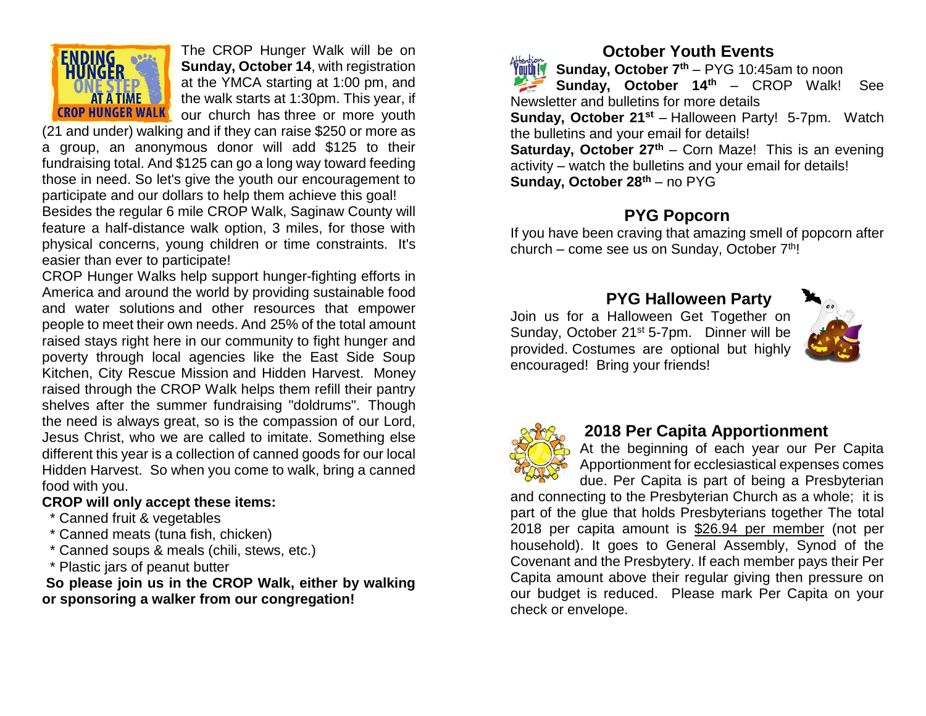

The CROP Hunger Walk will be on **Sunday, October 14**, with registration at the YMCA starting at 1:00 pm, and the walk starts at 1:30pm. This year, if our church has three or more youth

(21 and under) walking and if they can raise \$250 or more as a group, an anonymous donor will add \$125 to their fundraising total. And \$125 can go a long way toward feeding those in need. So let's give the youth our encouragement to participate and our dollars to help them achieve this goal!

Besides the regular 6 mile CROP Walk, Saginaw County will feature a half-distance walk option, 3 miles, for those with physical concerns, young children or time constraints. It's easier than ever to participate!

CROP Hunger Walks help support hunger-fighting efforts in America and around the world by providing sustainable food and water solutions and other resources that empower people to meet their own needs. And 25% of the total amount raised stays right here in our community to fight hunger and poverty through local agencies like the East Side Soup Kitchen, City Rescue Mission and Hidden Harvest. Money raised through the CROP Walk helps them refill their pantry shelves after the summer fundraising "doldrums". Though the need is always great, so is the compassion of our Lord, Jesus Christ, who we are called to imitate. Something else different this year is a collection of canned goods for our local Hidden Harvest. So when you come to walk, bring a canned food with you.

#### **CROP will only accept these items:**

- \* Canned fruit & vegetables
- \* Canned meats (tuna fish, chicken)
- \* Canned soups & meals (chili, stews, etc.)
- \* Plastic jars of peanut butter

**So please join us in the CROP Walk, either by walking or sponsoring a walker from our congregation!**

# **October Youth Events**

**Sunday, October 7th** – PYG 10:45am to noon **Sunday, October 14th** – CROP Walk! See Newsletter and bulletins for more details **Sunday, October 21st** – Halloween Party! 5-7pm. Watch the bulletins and your email for details! **Saturday, October 27th** – Corn Maze! This is an evening activity – watch the bulletins and your email for details! **Sunday, October 28th** – no PYG

### **PYG Popcorn**

If you have been craving that amazing smell of popcorn after church – come see us on Sunday, October  $7<sup>th</sup>$ !

# **PYG Halloween Party**

Join us for a Halloween Get Together on Sunday, October 21<sup>st</sup> 5-7pm. Dinner will be provided. Costumes are optional but highly encouraged! Bring your friends!





#### **2018 Per Capita Apportionment**

At the beginning of each year our Per Capita Apportionment for ecclesiastical expenses comes

due. Per Capita is part of being a Presbyterian and connecting to the Presbyterian Church as a whole; it is part of the glue that holds Presbyterians together The total 2018 per capita amount is \$26.94 per member (not per household). It goes to General Assembly, Synod of the Covenant and the Presbytery. If each member pays their Per Capita amount above their regular giving then pressure on our budget is reduced. Please mark Per Capita on your check or envelope.